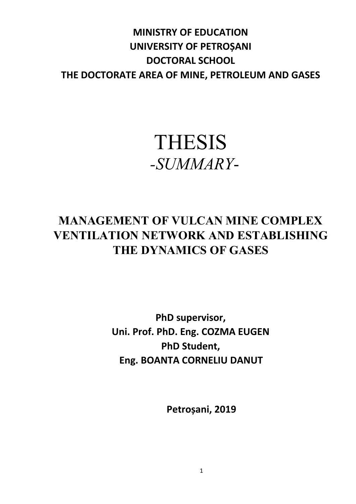## **MINISTRY OF EDUCATION UNIVERSITY OF PETROȘANI DOCTORAL SCHOOL THE DOCTORATE AREA OF MINE, PETROLEUM AND GASES**

## THESIS  *-SUMMARY*-

## **MANAGEMENT OF VULCAN MINE COMPLEX VENTILATION NETWORK AND ESTABLISHING THE DYNAMICS OF GASES**

**PhD supervisor, Uni. Prof. PhD. Eng. COZMA EUGEN PhD Student, Eng. BOANTA CORNELIU DANUT**

**Petroșani, 2019**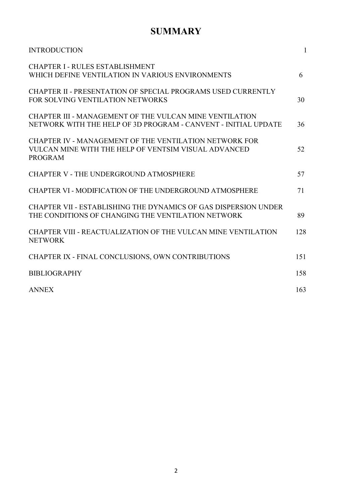## **SUMMARY**

| <b>INTRODUCTION</b>                                                                                                              | $\mathbf{1}$ |
|----------------------------------------------------------------------------------------------------------------------------------|--------------|
| <b>CHAPTER I - RULES ESTABLISHMENT</b><br>WHICH DEFINE VENTILATION IN VARIOUS ENVIRONMENTS                                       | 6            |
| CHAPTER II - PRESENTATION OF SPECIAL PROGRAMS USED CURRENTLY<br>FOR SOLVING VENTILATION NETWORKS                                 | 30           |
| CHAPTER III - MANAGEMENT OF THE VULCAN MINE VENTILATION<br>NETWORK WITH THE HELP OF 3D PROGRAM - CANVENT - INITIAL UPDATE        | 36           |
| CHAPTER IV - MANAGEMENT OF THE VENTILATION NETWORK FOR<br>VULCAN MINE WITH THE HELP OF VENTSIM VISUAL ADVANCED<br><b>PROGRAM</b> | 52           |
| CHAPTER V - THE UNDERGROUND ATMOSPHERE                                                                                           | 57           |
| CHAPTER VI - MODIFICATION OF THE UNDERGROUND ATMOSPHERE                                                                          | 71           |
| CHAPTER VII - ESTABLISHING THE DYNAMICS OF GAS DISPERSION UNDER<br>THE CONDITIONS OF CHANGING THE VENTILATION NETWORK            | 89           |
| CHAPTER VIII - REACTUALIZATION OF THE VULCAN MINE VENTILATION<br><b>NETWORK</b>                                                  | 128          |
| CHAPTER IX - FINAL CONCLUSIONS, OWN CONTRIBUTIONS                                                                                | 151          |
| <b>BIBLIOGRAPHY</b>                                                                                                              | 158          |
| <b>ANNEX</b>                                                                                                                     | 163          |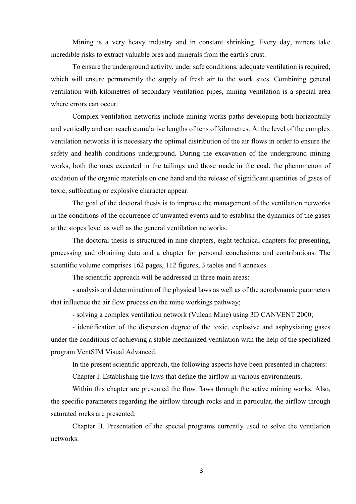Mining is a very heavy industry and in constant shrinking. Every day, miners take incredible risks to extract valuable ores and minerals from the earth's crust.

To ensure the underground activity, under safe conditions, adequate ventilation is required, which will ensure permanently the supply of fresh air to the work sites. Combining general ventilation with kilometres of secondary ventilation pipes, mining ventilation is a special area where errors can occur.

Complex ventilation networks include mining works paths developing both horizontally and vertically and can reach cumulative lengths of tens of kilometres. At the level of the complex ventilation networks it is necessary the optimal distribution of the air flows in order to ensure the safety and health conditions underground. During the excavation of the underground mining works, both the ones executed in the tailings and those made in the coal, the phenomenon of oxidation of the organic materials on one hand and the release of significant quantities of gases of toxic, suffocating or explosive character appear.

The goal of the doctoral thesis is to improve the management of the ventilation networks in the conditions of the occurrence of unwanted events and to establish the dynamics of the gases at the stopes level as well as the general ventilation networks.

The doctoral thesis is structured in nine chapters, eight technical chapters for presenting, processing and obtaining data and a chapter for personal conclusions and contributions. The scientific volume comprises 162 pages, 112 figures, 3 tables and 4 annexes.

The scientific approach will be addressed in three main areas:

- analysis and determination of the physical laws as well as of the aerodynamic parameters that influence the air flow process on the mine workings pathway;

- solving a complex ventilation network (Vulcan Mine) using 3D CANVENT 2000;

- identification of the dispersion degree of the toxic, explosive and asphyxiating gases under the conditions of achieving a stable mechanized ventilation with the help of the specialized program VentSIM Visual Advanced.

In the present scientific approach, the following aspects have been presented in chapters:

Chapter I. Establishing the laws that define the airflow in various environments.

Within this chapter are presented the flow flaws through the active mining works. Also, the specific parameters regarding the airflow through rocks and in particular, the airflow through saturated rocks are presented.

Chapter II. Presentation of the special programs currently used to solve the ventilation networks.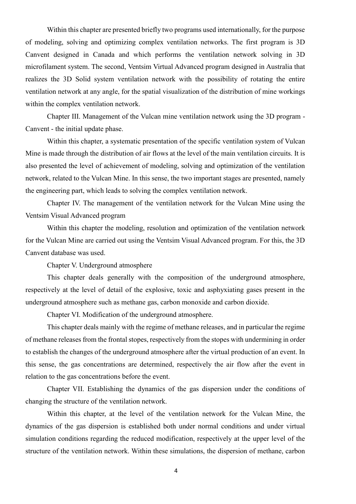Within this chapter are presented briefly two programs used internationally, for the purpose of modeling, solving and optimizing complex ventilation networks. The first program is 3D Canvent designed in Canada and which performs the ventilation network solving in 3D microfilament system. The second, Ventsim Virtual Advanced program designed in Australia that realizes the 3D Solid system ventilation network with the possibility of rotating the entire ventilation network at any angle, for the spatial visualization of the distribution of mine workings within the complex ventilation network.

Chapter III. Management of the Vulcan mine ventilation network using the 3D program - Canvent - the initial update phase.

Within this chapter, a systematic presentation of the specific ventilation system of Vulcan Mine is made through the distribution of air flows at the level of the main ventilation circuits. It is also presented the level of achievement of modeling, solving and optimization of the ventilation network, related to the Vulcan Mine. In this sense, the two important stages are presented, namely the engineering part, which leads to solving the complex ventilation network.

Chapter IV. The management of the ventilation network for the Vulcan Mine using the Ventsim Visual Advanced program

Within this chapter the modeling, resolution and optimization of the ventilation network for the Vulcan Mine are carried out using the Ventsim Visual Advanced program. For this, the 3D Canvent database was used.

Chapter V. Underground atmosphere

This chapter deals generally with the composition of the underground atmosphere, respectively at the level of detail of the explosive, toxic and asphyxiating gases present in the underground atmosphere such as methane gas, carbon monoxide and carbon dioxide.

Chapter VI. Modification of the underground atmosphere.

This chapter deals mainly with the regime of methane releases, and in particular the regime of methane releases from the frontal stopes, respectively from the stopes with undermining in order to establish the changes of the underground atmosphere after the virtual production of an event. In this sense, the gas concentrations are determined, respectively the air flow after the event in relation to the gas concentrations before the event.

Chapter VII. Establishing the dynamics of the gas dispersion under the conditions of changing the structure of the ventilation network.

Within this chapter, at the level of the ventilation network for the Vulcan Mine, the dynamics of the gas dispersion is established both under normal conditions and under virtual simulation conditions regarding the reduced modification, respectively at the upper level of the structure of the ventilation network. Within these simulations, the dispersion of methane, carbon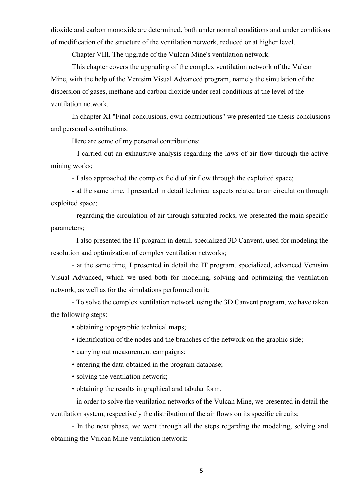dioxide and carbon monoxide are determined, both under normal conditions and under conditions of modification of the structure of the ventilation network, reduced or at higher level.

Chapter VIII. The upgrade of the Vulcan Mine's ventilation network.

This chapter covers the upgrading of the complex ventilation network of the Vulcan Mine, with the help of the Ventsim Visual Advanced program, namely the simulation of the dispersion of gases, methane and carbon dioxide under real conditions at the level of the ventilation network.

In chapter XI "Final conclusions, own contributions" we presented the thesis conclusions and personal contributions.

Here are some of my personal contributions:

- I carried out an exhaustive analysis regarding the laws of air flow through the active mining works;

- I also approached the complex field of air flow through the exploited space;

- at the same time, I presented in detail technical aspects related to air circulation through exploited space;

- regarding the circulation of air through saturated rocks, we presented the main specific parameters;

- I also presented the IT program in detail. specialized 3D Canvent, used for modeling the resolution and optimization of complex ventilation networks;

- at the same time, I presented in detail the IT program. specialized, advanced Ventsim Visual Advanced, which we used both for modeling, solving and optimizing the ventilation network, as well as for the simulations performed on it;

- To solve the complex ventilation network using the 3D Canvent program, we have taken the following steps:

• obtaining topographic technical maps;

• identification of the nodes and the branches of the network on the graphic side;

• carrying out measurement campaigns;

• entering the data obtained in the program database;

• solving the ventilation network;

• obtaining the results in graphical and tabular form.

- in order to solve the ventilation networks of the Vulcan Mine, we presented in detail the ventilation system, respectively the distribution of the air flows on its specific circuits;

- In the next phase, we went through all the steps regarding the modeling, solving and obtaining the Vulcan Mine ventilation network;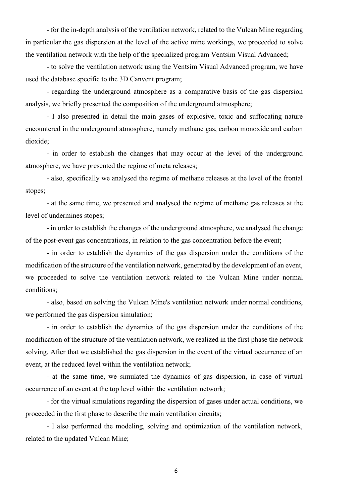- for the in-depth analysis of the ventilation network, related to the Vulcan Mine regarding in particular the gas dispersion at the level of the active mine workings, we proceeded to solve the ventilation network with the help of the specialized program Ventsim Visual Advanced;

- to solve the ventilation network using the Ventsim Visual Advanced program, we have used the database specific to the 3D Canvent program;

- regarding the underground atmosphere as a comparative basis of the gas dispersion analysis, we briefly presented the composition of the underground atmosphere;

- I also presented in detail the main gases of explosive, toxic and suffocating nature encountered in the underground atmosphere, namely methane gas, carbon monoxide and carbon dioxide;

- in order to establish the changes that may occur at the level of the underground atmosphere, we have presented the regime of meta releases;

- also, specifically we analysed the regime of methane releases at the level of the frontal stopes;

- at the same time, we presented and analysed the regime of methane gas releases at the level of undermines stopes;

- in order to establish the changes of the underground atmosphere, we analysed the change of the post-event gas concentrations, in relation to the gas concentration before the event;

- in order to establish the dynamics of the gas dispersion under the conditions of the modification of the structure of the ventilation network, generated by the development of an event, we proceeded to solve the ventilation network related to the Vulcan Mine under normal conditions;

- also, based on solving the Vulcan Mine's ventilation network under normal conditions, we performed the gas dispersion simulation;

- in order to establish the dynamics of the gas dispersion under the conditions of the modification of the structure of the ventilation network, we realized in the first phase the network solving. After that we established the gas dispersion in the event of the virtual occurrence of an event, at the reduced level within the ventilation network;

- at the same time, we simulated the dynamics of gas dispersion, in case of virtual occurrence of an event at the top level within the ventilation network;

- for the virtual simulations regarding the dispersion of gases under actual conditions, we proceeded in the first phase to describe the main ventilation circuits;

- I also performed the modeling, solving and optimization of the ventilation network, related to the updated Vulcan Mine;